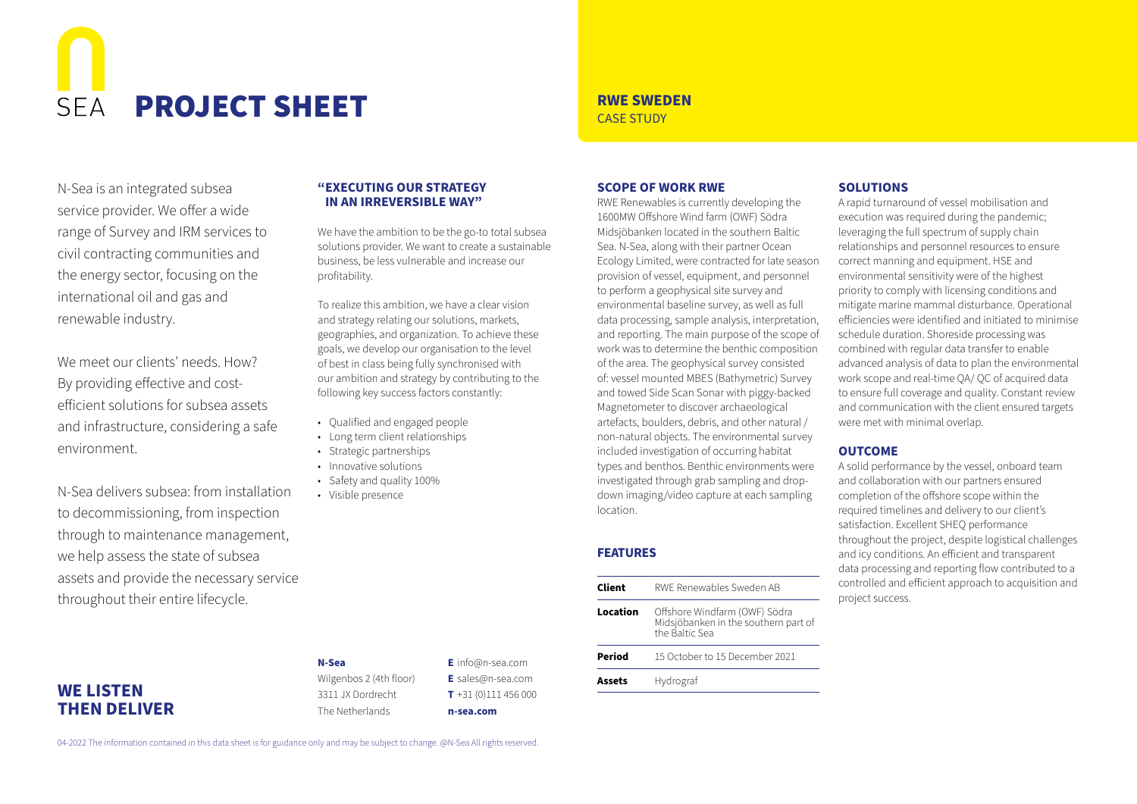# **PROJECT SHEET** RIVE SWEDEN  $SFA$

N-Sea is an integrated subsea service provider. We offer a wide range of Survey and IRM services to civil contracting communities and the energy sector, focusing on the international oil and gas and renewable industry.

We meet our clients' needs. How? By providing effective and costefficient solutions for subsea assets and infrastructure, considering a safe environment.

N-Sea delivers subsea: from installation to decommissioning, from inspection through to maintenance management, we help assess the state of subsea assets and provide the necessary service throughout their entire lifecycle.

#### **"EXECUTING OUR STRATEGY IN AN IRREVERSIBLE WAY"**

We have the ambition to be the go-to total subsea solutions provider. We want to create a sustainable business, be less vulnerable and increase our profitability.

To realize this ambition, we have a clear vision and strategy relating our solutions, markets, geographies, and organization. To achieve these goals, we develop our organisation to the level of best in class being fully synchronised with our ambition and strategy by contributing to the following key success factors constantly:

- Qualified and engaged people
- Long term client relationships
- Strategic partnerships
- Innovative solutions
- Safety and quality 100%
- Visible presence

#### **SCOPE OF WORK RWE**

RWE Renewables is currently developing the 1600MW Offshore Wind farm (OWF) Södra Midsjöbanken located in the southern Baltic Sea. N-Sea, along with their partner Ocean Ecology Limited, were contracted for late season provision of vessel, equipment, and personnel to perform a geophysical site survey and environmental baseline survey, as well as full data processing, sample analysis, interpretation, and reporting. The main purpose of the scope of work was to determine the benthic composition of the area. The geophysical survey consisted of: vessel mounted MBES (Bathymetric) Survey and towed Side Scan Sonar with piggy-backed Magnetometer to discover archaeological artefacts, boulders, debris, and other natural / non-natural objects. The environmental survey included investigation of occurring habitat types and benthos. Benthic environments were investigated through grab sampling and dropdown imaging/video capture at each sampling location.

#### **FEATURES**

| Client   | RWE Renewables Sweden AB                                                                |
|----------|-----------------------------------------------------------------------------------------|
| Location | Offshore Windfarm (OWF) Södra<br>Midsjöbanken in the southern part of<br>the Baltic Sea |
| Period   | 15 October to 15 December 2021                                                          |
| Assets   | Hydrograf                                                                               |
|          |                                                                                         |

#### **SOLUTIONS**

A rapid turnaround of vessel mobilisation and execution was required during the pandemic: leveraging the full spectrum of supply chain relationships and personnel resources to ensure correct manning and equipment. HSE and environmental sensitivity were of the highest priority to comply with licensing conditions and mitigate marine mammal disturbance. Operational efficiencies were identified and initiated to minimise schedule duration. Shoreside processing was combined with regular data transfer to enable advanced analysis of data to plan the environmental work scope and real-time QA/ QC of acquired data to ensure full coverage and quality. Constant review and communication with the client ensured targets were met with minimal overlap.

#### **OUTCOME**

A solid performance by the vessel, onboard team and collaboration with our partners ensured completion of the offshore scope within the required timelines and delivery to our client's satisfaction. Excellent SHEQ performance throughout the project, despite logistical challenges and icy conditions. An efficient and transparent data processing and reporting flow contributed to a controlled and efficient approach to acquisition and project success.

### **WE LISTEN THEN DELIVER**

**N-Sea** Wilgenbos 2 (4th floor) 3311 JX Dordrecht The Netherlands

**E** info@n-sea.com **E** sales@n-sea.com **T** +31 (0)111 456 000 **n-sea.com**

04-2022 The information contained in this data sheet is for guidance only and may be subject to change. @N-Sea All rights reserved.